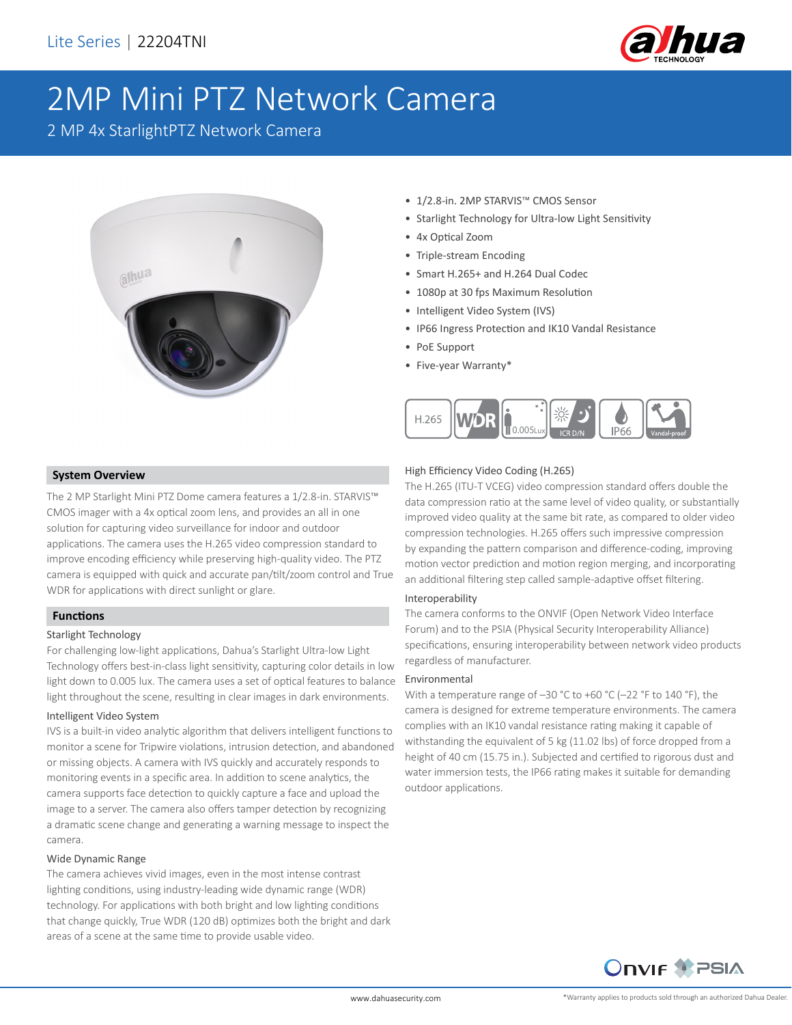

# 2MP Mini PTZ Network Camera

2 MP 4x StarlightPTZ Network Camera



- 1/2.8-in. 2MP STARVIS™ CMOS Sensor
- Starlight Technology for Ultra-low Light Sensitivity
- 4x Optical Zoom
- Triple-stream Encoding
- Smart H.265+ and H.264 Dual Codec
- 1080p at 30 fps Maximum Resolution
- Intelligent Video System (IVS)
- IP66 Ingress Protection and IK10 Vandal Resistance
- PoE Support
- Five-year Warranty\*



### **System Overview**

The 2 MP Starlight Mini PTZ Dome camera features a 1/2.8-in. STARVIS™ CMOS imager with a 4x optical zoom lens, and provides an all in one solution for capturing video surveillance for indoor and outdoor applications. The camera uses the H.265 video compression standard to improve encoding efficiency while preserving high-quality video. The PTZ camera is equipped with quick and accurate pan/tilt/zoom control and True WDR for applications with direct sunlight or glare.

### **Functions**

### Starlight Technology

For challenging low-light applications, Dahua's Starlight Ultra-low Light Technology offers best-in-class light sensitivity, capturing color details in low light down to 0.005 lux. The camera uses a set of optical features to balance light throughout the scene, resulting in clear images in dark environments.

### Intelligent Video System

IVS is a built-in video analytic algorithm that delivers intelligent functions to monitor a scene for Tripwire violations, intrusion detection, and abandoned or missing objects. A camera with IVS quickly and accurately responds to monitoring events in a specific area. In addition to scene analytics, the camera supports face detection to quickly capture a face and upload the image to a server. The camera also offers tamper detection by recognizing a dramatic scene change and generating a warning message to inspect the camera.

### Wide Dynamic Range

The camera achieves vivid images, even in the most intense contrast lighting conditions, using industry-leading wide dynamic range (WDR) technology. For applications with both bright and low lighting conditions that change quickly, True WDR (120 dB) optimizes both the bright and dark areas of a scene at the same time to provide usable video.

### High Efficiency Video Coding (H.265)

The H.265 (ITU-T VCEG) video compression standard offers double the data compression ratio at the same level of video quality, or substantially improved video quality at the same bit rate, as compared to older video compression technologies. H.265 offers such impressive compression by expanding the pattern comparison and difference-coding, improving motion vector prediction and motion region merging, and incorporating an additional filtering step called sample-adaptive offset filtering.

### Interoperability

The camera conforms to the ONVIF (Open Network Video Interface Forum) and to the PSIA (Physical Security Interoperability Alliance) specifications, ensuring interoperability between network video products regardless of manufacturer.

### Environmental

With a temperature range of –30 °C to +60 °C (–22 °F to 140 °F), the camera is designed for extreme temperature environments. The camera complies with an IK10 vandal resistance rating making it capable of withstanding the equivalent of 5 kg (11.02 lbs) of force dropped from a height of 40 cm (15.75 in.). Subjected and certified to rigorous dust and water immersion tests, the IP66 rating makes it suitable for demanding outdoor applications.

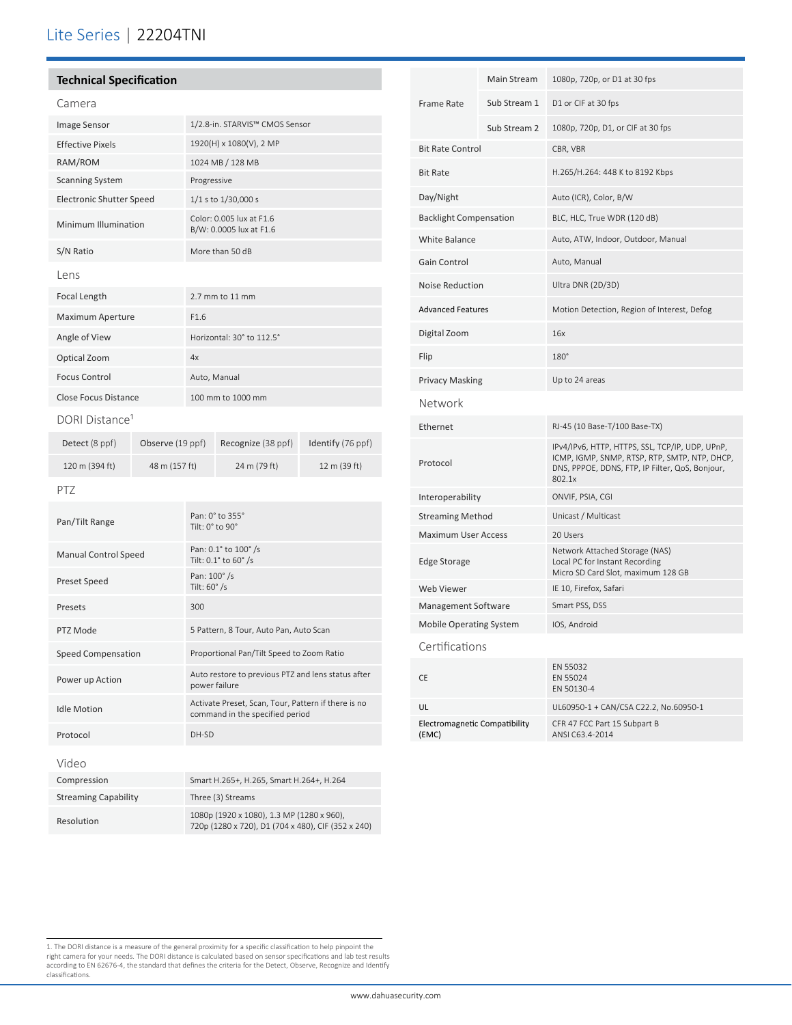### Lite Series | 22204TNI

### **Technical Specification**

| Camera                          |                                                     |
|---------------------------------|-----------------------------------------------------|
| <b>Image Sensor</b>             | 1/2.8-in. STARVIS™ CMOS Sensor                      |
| <b>Effective Pixels</b>         | 1920(H) x 1080(V), 2 MP                             |
| RAM/ROM                         | 1024 MB / 128 MB                                    |
| <b>Scanning System</b>          | Progressive                                         |
| <b>Electronic Shutter Speed</b> | 1/1 s to 1/30,000 s                                 |
| Minimum Illumination            | Color: 0.005 lux at F1.6<br>B/W: 0.0005 lux at F1.6 |
| S/N Ratio                       | More than 50 dB                                     |
| lens                            |                                                     |
| Focal Length                    | $2.7$ mm to 11 mm                                   |
| Maximum Aperture                | F1.6                                                |
| Angle of View                   | Horizontal: 30° to 112.5°                           |
| Optical Zoom                    | 4x                                                  |
| <b>Focus Control</b>            | Auto, Manual                                        |
| Close Focus Distance            | 100 mm to 1000 mm                                   |

### DORI Distance<sup>1</sup>

| Detect (8 ppf) | Observe (19 ppf) | Recognize (38 ppf) | Identify (76 ppf) |
|----------------|------------------|--------------------|-------------------|
| 120 m (394 ft) | 48 m (157 ft)    | 24 m (79 ft)       | 12 m (39 ft)      |

### PTZ

| Pan/Tilt Range              | Pan: 0° to 355°<br>Tilt: $0^\circ$ to $90^\circ$                                                |
|-----------------------------|-------------------------------------------------------------------------------------------------|
| <b>Manual Control Speed</b> | Pan: 0.1° to 100° /s<br>Tilt: 0.1° to 60° /s                                                    |
| Preset Speed                | Pan: 100° /s<br>Tilt: 60° /s                                                                    |
| Presets                     | 300                                                                                             |
| PTZ Mode                    | 5 Pattern, 8 Tour, Auto Pan, Auto Scan                                                          |
| <b>Speed Compensation</b>   | Proportional Pan/Tilt Speed to Zoom Ratio                                                       |
| Power up Action             | Auto restore to previous PTZ and lens status after<br>power failure                             |
| <b>Idle Motion</b>          | Activate Preset, Scan, Tour, Pattern if there is no<br>command in the specified period          |
| Protocol                    | DH-SD                                                                                           |
| Video                       |                                                                                                 |
| Compression                 | Smart H.265+, H.265, Smart H.264+, H.264                                                        |
| <b>Streaming Capability</b> | Three (3) Streams                                                                               |
| Resolution                  | 1080p (1920 x 1080), 1.3 MP (1280 x 960),<br>720p (1280 x 720), D1 (704 x 480), CIF (352 x 240) |

| <b>Frame Rate</b>                      | Main Stream  | 1080p, 720p, or D1 at 30 fps                                                                                                                                  |
|----------------------------------------|--------------|---------------------------------------------------------------------------------------------------------------------------------------------------------------|
|                                        | Sub Stream 1 | D1 or CIF at 30 fps                                                                                                                                           |
|                                        | Sub Stream 2 | 1080p, 720p, D1, or CIF at 30 fps                                                                                                                             |
| <b>Bit Rate Control</b>                |              | CBR, VBR                                                                                                                                                      |
| <b>Bit Rate</b>                        |              | H.265/H.264: 448 K to 8192 Kbps                                                                                                                               |
| Day/Night                              |              | Auto (ICR), Color, B/W                                                                                                                                        |
| <b>Backlight Compensation</b>          |              | BLC, HLC, True WDR (120 dB)                                                                                                                                   |
| <b>White Balance</b>                   |              | Auto, ATW, Indoor, Outdoor, Manual                                                                                                                            |
| Gain Control                           |              | Auto, Manual                                                                                                                                                  |
| <b>Noise Reduction</b>                 |              | Ultra DNR (2D/3D)                                                                                                                                             |
| <b>Advanced Features</b>               |              | Motion Detection, Region of Interest, Defog                                                                                                                   |
| Digital Zoom                           |              | 16x                                                                                                                                                           |
| Flip                                   |              | 180°                                                                                                                                                          |
| <b>Privacy Masking</b>                 |              | Up to 24 areas                                                                                                                                                |
| Network                                |              |                                                                                                                                                               |
| Ethernet                               |              | RJ-45 (10 Base-T/100 Base-TX)                                                                                                                                 |
| Protocol                               |              | IPv4/IPv6, HTTP, HTTPS, SSL, TCP/IP, UDP, UPnP,<br>ICMP, IGMP, SNMP, RTSP, RTP, SMTP, NTP, DHCP,<br>DNS, PPPOE, DDNS, FTP, IP Filter, QoS, Bonjour,<br>802.1x |
| Interoperability                       |              | ONVIF, PSIA, CGI                                                                                                                                              |
| <b>Streaming Method</b>                |              | Unicast / Multicast                                                                                                                                           |
| <b>Maximum User Access</b>             |              | 20 Users                                                                                                                                                      |
| <b>Edge Storage</b>                    |              | Network Attached Storage (NAS)<br>Local PC for Instant Recording<br>Micro SD Card Slot, maximum 128 GB                                                        |
| <b>Web Viewer</b>                      |              | IE 10, Firefox, Safari                                                                                                                                        |
| Management Software                    |              | Smart PSS, DSS                                                                                                                                                |
| <b>Mobile Operating System</b>         |              | IOS, Android                                                                                                                                                  |
| Certifications                         |              |                                                                                                                                                               |
| <b>CE</b>                              |              | EN 55032<br>EN 55024<br>EN 50130-4                                                                                                                            |
| UL                                     |              | UL60950-1 + CAN/CSA C22.2, No.60950-1                                                                                                                         |
| Electromagnetic Compatibility<br>(EMC) |              | CFR 47 FCC Part 15 Subpart B<br>ANSI C63.4-2014                                                                                                               |

<sup>1.</sup> The DORI distance is a measure of the general proximity for a specific classification to help pinpoint the<br>right camera for your needs. The DORI distance is calculated based on sensor specifications and lab test results